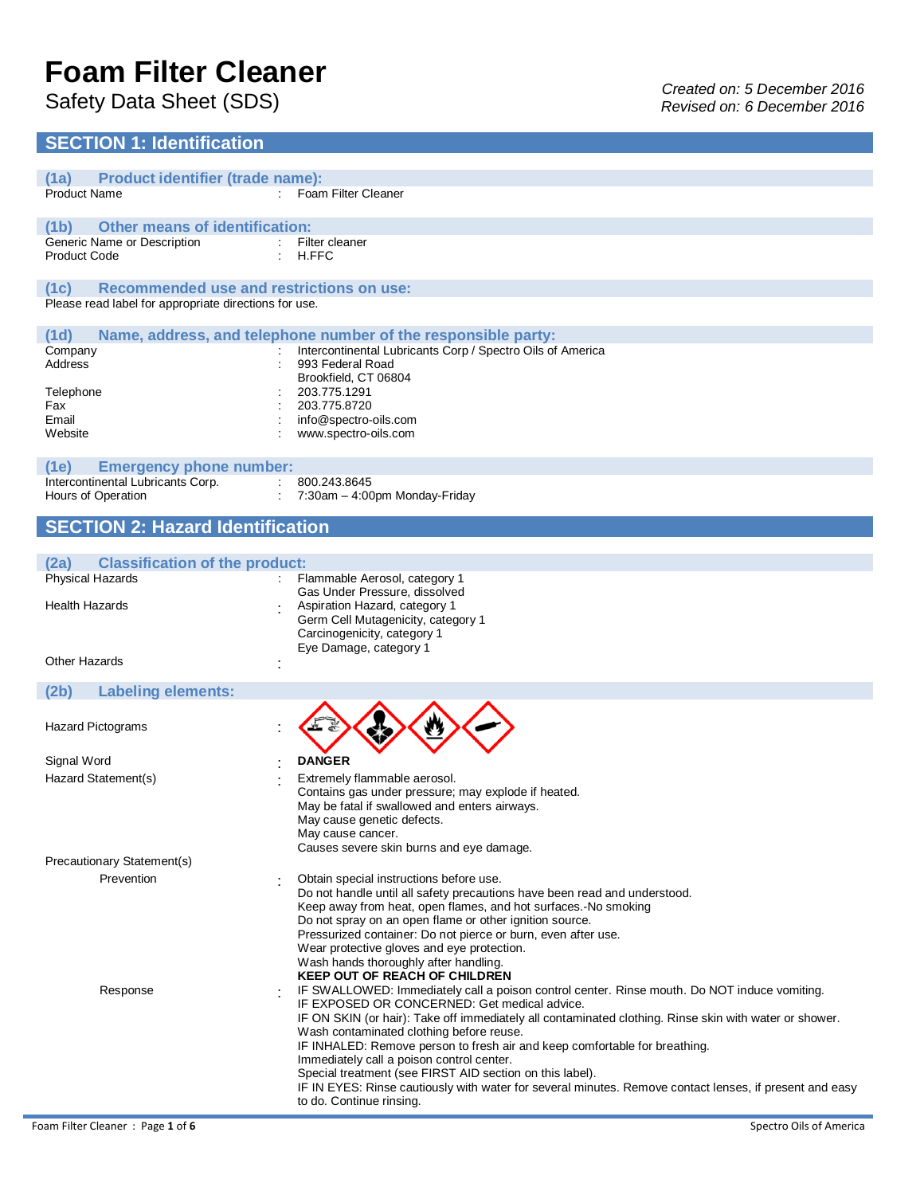# **Foam Filter Cleaner**

# **SECTION 1: Identification**

| (1a)<br><b>Product identifier (trade name):</b>         |                                                                                                                                                                     |
|---------------------------------------------------------|---------------------------------------------------------------------------------------------------------------------------------------------------------------------|
| <b>Product Name</b>                                     | : Foam Filter Cleaner                                                                                                                                               |
|                                                         |                                                                                                                                                                     |
| <b>Other means of identification:</b><br>(1b)           |                                                                                                                                                                     |
| Generic Name or Description                             | : Filter cleaner                                                                                                                                                    |
| <b>Product Code</b>                                     | H.FFC                                                                                                                                                               |
|                                                         |                                                                                                                                                                     |
| <b>Recommended use and restrictions on use:</b><br>(1c) |                                                                                                                                                                     |
| Please read label for appropriate directions for use.   |                                                                                                                                                                     |
|                                                         |                                                                                                                                                                     |
| (1d)                                                    | Name, address, and telephone number of the responsible party:                                                                                                       |
| Company                                                 | Intercontinental Lubricants Corp / Spectro Oils of America                                                                                                          |
| Address                                                 | 993 Federal Road<br>Brookfield, CT 06804                                                                                                                            |
| Telephone                                               | 203.775.1291                                                                                                                                                        |
| Fax                                                     | 203.775.8720                                                                                                                                                        |
| Email                                                   | info@spectro-oils.com                                                                                                                                               |
| Website                                                 | www.spectro-oils.com                                                                                                                                                |
|                                                         |                                                                                                                                                                     |
| (1e)<br><b>Emergency phone number:</b>                  |                                                                                                                                                                     |
| Intercontinental Lubricants Corp.                       | 800.243.8645                                                                                                                                                        |
| Hours of Operation                                      | 7:30am - 4:00pm Monday-Friday                                                                                                                                       |
|                                                         |                                                                                                                                                                     |
| <b>SECTION 2: Hazard Identification</b>                 |                                                                                                                                                                     |
|                                                         |                                                                                                                                                                     |
| (2a)<br><b>Classification of the product:</b>           |                                                                                                                                                                     |
| <b>Physical Hazards</b>                                 | Flammable Aerosol, category 1                                                                                                                                       |
|                                                         | Gas Under Pressure, dissolved                                                                                                                                       |
| <b>Health Hazards</b>                                   | Aspiration Hazard, category 1                                                                                                                                       |
|                                                         | Germ Cell Mutagenicity, category 1                                                                                                                                  |
|                                                         | Carcinogenicity, category 1<br>Eye Damage, category 1                                                                                                               |
| Other Hazards                                           |                                                                                                                                                                     |
|                                                         |                                                                                                                                                                     |
| (2b)<br><b>Labeling elements:</b>                       |                                                                                                                                                                     |
|                                                         |                                                                                                                                                                     |
| <b>Hazard Pictograms</b>                                |                                                                                                                                                                     |
|                                                         |                                                                                                                                                                     |
| Signal Word                                             | <b>DANGER</b>                                                                                                                                                       |
|                                                         |                                                                                                                                                                     |
| Hazard Statement(s)                                     | Extremely flammable aerosol.                                                                                                                                        |
|                                                         | Contains gas under pressure; may explode if heated.<br>May be fatal if swallowed and enters airways.                                                                |
|                                                         | May cause genetic defects.                                                                                                                                          |
|                                                         | May cause cancer.                                                                                                                                                   |
|                                                         | Causes severe skin burns and eye damage.                                                                                                                            |
| Precautionary Statement(s)                              |                                                                                                                                                                     |
| Prevention                                              | Obtain special instructions before use.                                                                                                                             |
|                                                         | Do not handle until all safety precautions have been read and understood.                                                                                           |
|                                                         | Keep away from heat, open flames, and hot surfaces.-No smoking                                                                                                      |
|                                                         | Do not spray on an open flame or other ignition source.                                                                                                             |
|                                                         | Pressurized container: Do not pierce or burn, even after use.                                                                                                       |
|                                                         | Wear protective gloves and eye protection.<br>Wash hands thoroughly after handling.                                                                                 |
|                                                         | <b>KEEP OUT OF REACH OF CHILDREN</b>                                                                                                                                |
| Response                                                | IF SWALLOWED: Immediately call a poison control center. Rinse mouth. Do NOT induce vomiting.                                                                        |
|                                                         | IF EXPOSED OR CONCERNED: Get medical advice.                                                                                                                        |
|                                                         | IF ON SKIN (or hair): Take off immediately all contaminated clothing. Rinse skin with water or shower.                                                              |
|                                                         | Wash contaminated clothing before reuse.                                                                                                                            |
|                                                         | IF INHALED: Remove person to fresh air and keep comfortable for breathing.                                                                                          |
|                                                         | Immediately call a poison control center.                                                                                                                           |
|                                                         | Special treatment (see FIRST AID section on this label).<br>IF IN EYES: Rinse cautiously with water for several minutes. Remove contact lenses, if present and easy |
|                                                         | to do. Continue rinsing.                                                                                                                                            |
|                                                         |                                                                                                                                                                     |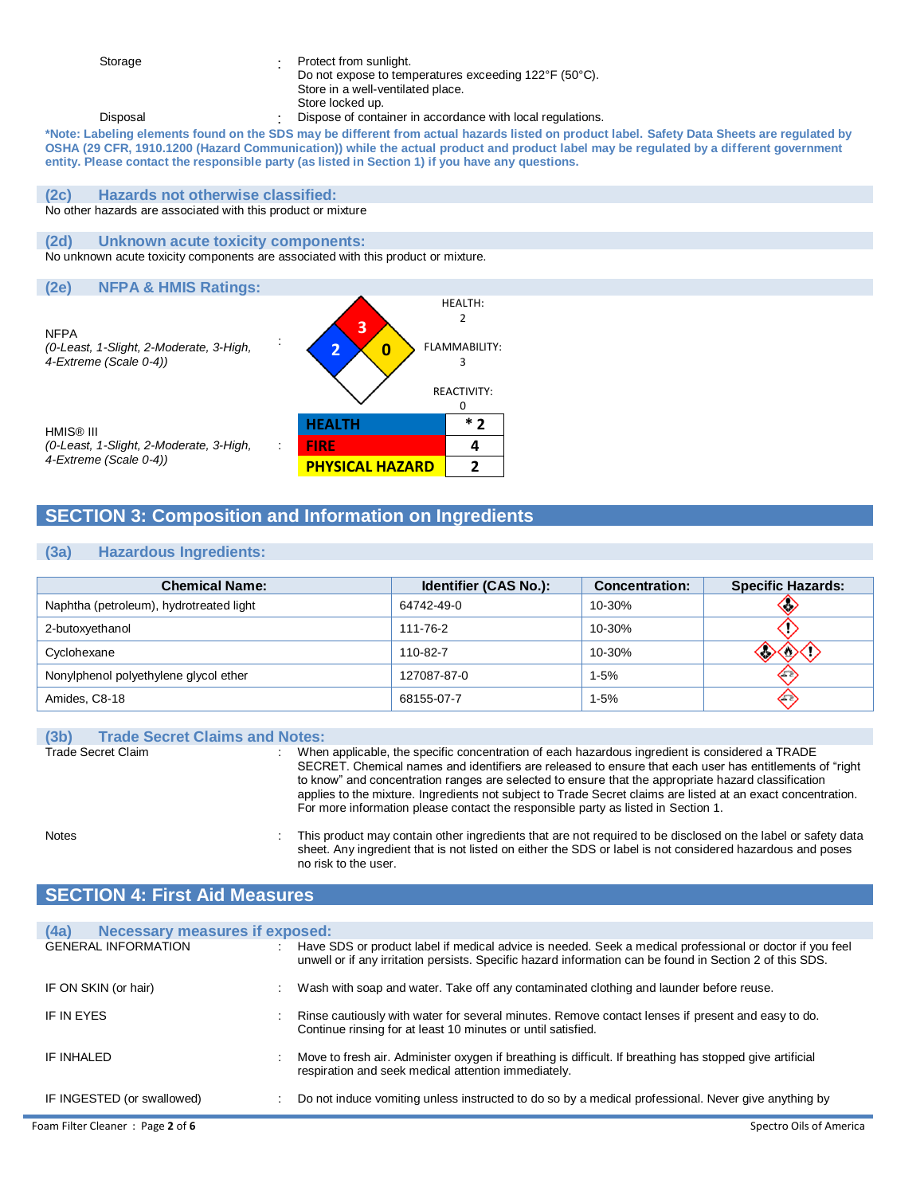Storage : Protect from sunlight. Do not expose to temperatures exceeding 122°F (50°C).

- Store in a well-ventilated place.
- Store locked up.
- Disposal **Dispose of container in accordance with local regulations.**

**\*Note: Labeling elements found on the SDS may be different from actual hazards listed on product label. Safety Data Sheets are regulated by OSHA (29 CFR, 1910.1200 (Hazard Communication)) while the actual product and product label may be regulated by a different government entity. Please contact the responsible party (as listed in Section 1) if you have any questions.**

#### **(2c) Hazards not otherwise classified:**

No other hazards are associated with this product or mixture

## **(2d) Unknown acute toxicity components:**

No unknown acute toxicity components are associated with this product or mixture.

#### **(2e) NFPA & HMIS Ratings:** NFPA *(0-Least, 1-Slight, 2-Moderate, 3-High, 4-Extreme (Scale 0-4))* : **3 0** HEALTH: 2 FLAMMABILITY: 3 REACTIVITY: 0 HMIS® III *(0-Least, 1-Slight, 2-Moderate, 3-High, 4-Extreme (Scale 0-4))* : **HEALTH \* 2 FIRE 4 PHYSICAL HAZARD 2**

# **SECTION 3: Composition and Information on Ingredients**

## **(3a) Hazardous Ingredients:**

| <b>Chemical Name:</b>                   | Identifier (CAS No.): | <b>Concentration:</b> | <b>Specific Hazards:</b> |
|-----------------------------------------|-----------------------|-----------------------|--------------------------|
| Naphtha (petroleum), hydrotreated light | 64742-49-0            | 10-30%                | ∖⊙                       |
| 2-butoxyethanol                         | 111-76-2              | 10-30%                |                          |
| Cyclohexane                             | 110-82-7              | 10-30%                |                          |
| Nonylphenol polyethylene glycol ether   | 127087-87-0           | $1 - 5%$              |                          |
| Amides, C8-18                           | 68155-07-7            | $1 - 5%$              | چ ∡ی                     |

| <b>Trade Secret Claims and Notes:</b><br>(3b) |                                                                                                                                                                                                                                                                                                                                                                                                                                                                                                                        |
|-----------------------------------------------|------------------------------------------------------------------------------------------------------------------------------------------------------------------------------------------------------------------------------------------------------------------------------------------------------------------------------------------------------------------------------------------------------------------------------------------------------------------------------------------------------------------------|
| Trade Secret Claim                            | When applicable, the specific concentration of each hazardous ingredient is considered a TRADE<br>SECRET. Chemical names and identifiers are released to ensure that each user has entitlements of "right"<br>to know" and concentration ranges are selected to ensure that the appropriate hazard classification<br>applies to the mixture. Ingredients not subject to Trade Secret claims are listed at an exact concentration.<br>For more information please contact the responsible party as listed in Section 1. |

Notes

: This product may contain other ingredients that are not required to be disclosed on the label or safety data sheet. Any ingredient that is not listed on either the SDS or label is not considered hazardous and poses no risk to the user.

# **SECTION 4: First Aid Measures**

| <b>Necessary measures if exposed:</b><br>(4a) |                                                                                                                                                                                                                      |
|-----------------------------------------------|----------------------------------------------------------------------------------------------------------------------------------------------------------------------------------------------------------------------|
| <b>GENERAL INFORMATION</b>                    | Have SDS or product label if medical advice is needed. Seek a medical professional or doctor if you feel<br>unwell or if any irritation persists. Specific hazard information can be found in Section 2 of this SDS. |
| IF ON SKIN (or hair)                          | Wash with soap and water. Take off any contaminated clothing and launder before reuse.                                                                                                                               |
| IF IN EYES                                    | Rinse cautiously with water for several minutes. Remove contact lenses if present and easy to do.<br>Continue rinsing for at least 10 minutes or until satisfied.                                                    |
| IF INHALED                                    | Move to fresh air. Administer oxygen if breathing is difficult. If breathing has stopped give artificial<br>respiration and seek medical attention immediately.                                                      |
| IF INGESTED (or swallowed)                    | Do not induce vomiting unless instructed to do so by a medical professional. Never give anything by                                                                                                                  |
| Foam Filter Cleaner: Page 2 of 6              | Spectro Oils of America                                                                                                                                                                                              |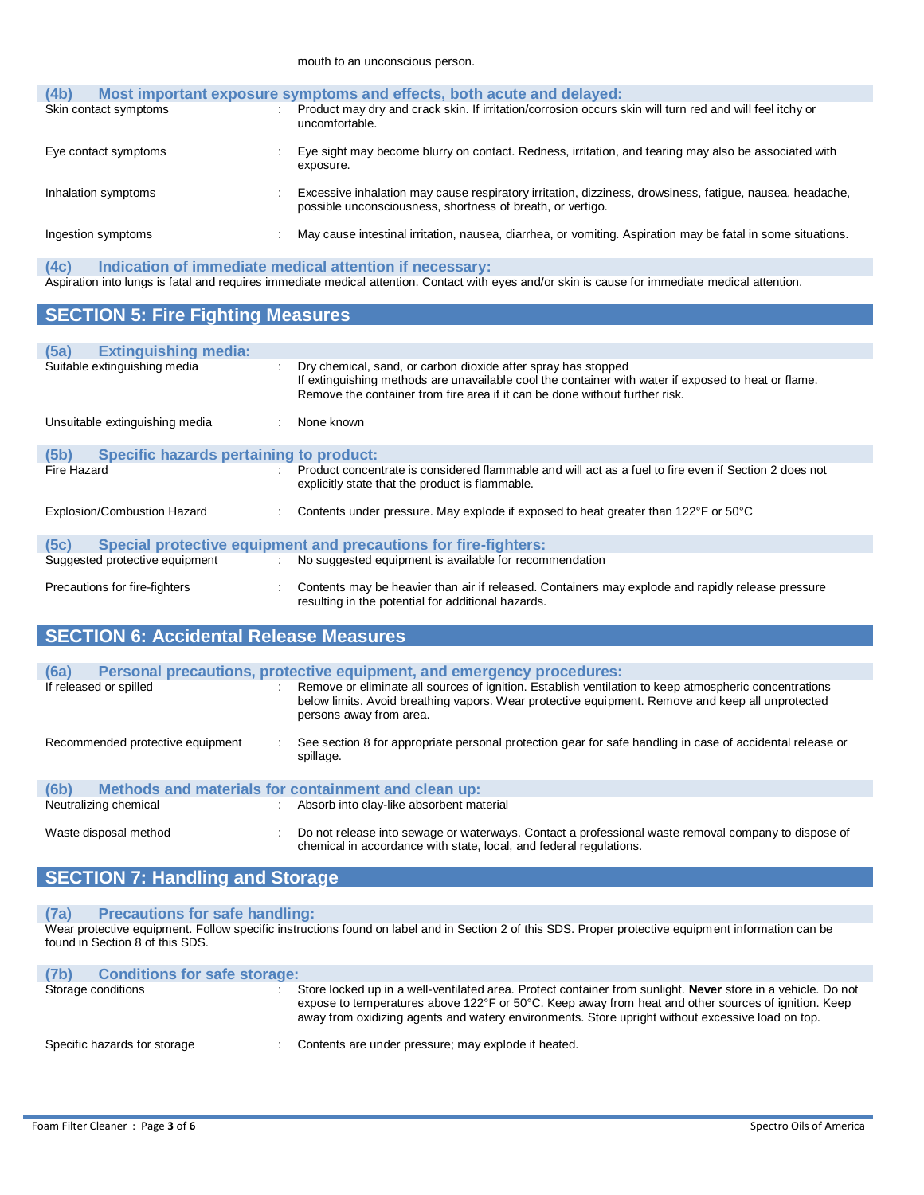| (4b)                  | Most important exposure symptoms and effects, both acute and delayed:                                                                                                  |
|-----------------------|------------------------------------------------------------------------------------------------------------------------------------------------------------------------|
| Skin contact symptoms | Product may dry and crack skin. If irritation/corrosion occurs skin will turn red and will feel itchy or<br>uncomfortable.                                             |
| Eye contact symptoms  | Eye sight may become blurry on contact. Redness, irritation, and tearing may also be associated with<br>exposure.                                                      |
| Inhalation symptoms   | Excessive inhalation may cause respiratory irritation, dizziness, drowsiness, fatigue, nausea, headache,<br>possible unconsciousness, shortness of breath, or vertigo. |
| Ingestion symptoms    | May cause intestinal irritation, nausea, diarrhea, or vomiting. Aspiration may be fatal in some situations.                                                            |

# **(4c) Indication of immediate medical attention if necessary:**

Aspiration into lungs is fatal and requires immediate medical attention. Contact with eyes and/or skin is cause for immediate medical attention.

# **SECTION 5: Fire Fighting Measures**

| <b>Extinguishing media:</b><br>(5a)                    |   |                                                                                                                                                                                                                                                     |
|--------------------------------------------------------|---|-----------------------------------------------------------------------------------------------------------------------------------------------------------------------------------------------------------------------------------------------------|
| Suitable extinguishing media                           |   | Dry chemical, sand, or carbon dioxide after spray has stopped<br>If extinguishing methods are unavailable cool the container with water if exposed to heat or flame.<br>Remove the container from fire area if it can be done without further risk. |
| Unsuitable extinguishing media                         |   | None known                                                                                                                                                                                                                                          |
| <b>Specific hazards pertaining to product:</b><br>(5b) |   |                                                                                                                                                                                                                                                     |
| Fire Hazard                                            |   | Product concentrate is considered flammable and will act as a fuel to fire even if Section 2 does not<br>explicitly state that the product is flammable.                                                                                            |
| Explosion/Combustion Hazard                            |   | Contents under pressure. May explode if exposed to heat greater than 122°F or 50°C                                                                                                                                                                  |
| (5c)                                                   |   | Special protective equipment and precautions for fire-fighters:                                                                                                                                                                                     |
| Suggested protective equipment                         | ÷ | No suggested equipment is available for recommendation                                                                                                                                                                                              |
| Precautions for fire-fighters                          | ÷ | Contents may be heavier than air if released. Containers may explode and rapidly release pressure<br>resulting in the potential for additional hazards.                                                                                             |

# **SECTION 6: Accidental Release Measures**

| (6a)                             | Personal precautions, protective equipment, and emergency procedures:                                                                                                                                                                |
|----------------------------------|--------------------------------------------------------------------------------------------------------------------------------------------------------------------------------------------------------------------------------------|
| If released or spilled           | Remove or eliminate all sources of ignition. Establish ventilation to keep atmospheric concentrations<br>below limits. Avoid breathing vapors. Wear protective equipment. Remove and keep all unprotected<br>persons away from area. |
| Recommended protective equipment | See section 8 for appropriate personal protection gear for safe handling in case of accidental release or<br>spillage.                                                                                                               |
| (6b)                             | Methods and materials for containment and clean up:                                                                                                                                                                                  |
| Neutralizing chemical            | : Absorb into clay-like absorbent material                                                                                                                                                                                           |
| Waste disposal method            | Do not release into sewage or waterways. Contact a professional waste removal company to dispose of<br>chemical in accordance with state, local, and federal regulations.                                                            |

# **SECTION 7: Handling and Storage**

## **(7a) Precautions for safe handling:**

Wear protective equipment. Follow specific instructions found on label and in Section 2 of this SDS. Proper protective equipment information can be found in Section 8 of this SDS.

| (7 <sub>b</sub> )<br><b>Conditions for safe storage:</b> |                                                                                                                                                                                                                                                                                                                         |
|----------------------------------------------------------|-------------------------------------------------------------------------------------------------------------------------------------------------------------------------------------------------------------------------------------------------------------------------------------------------------------------------|
| Storage conditions                                       | Store locked up in a well-ventilated area. Protect container from sunlight. Never store in a vehicle. Do not<br>expose to temperatures above 122°F or 50°C. Keep away from heat and other sources of ignition. Keep<br>away from oxidizing agents and watery environments. Store upright without excessive load on top. |
| Specific hazards for storage                             | Contents are under pressure; may explode if heated.                                                                                                                                                                                                                                                                     |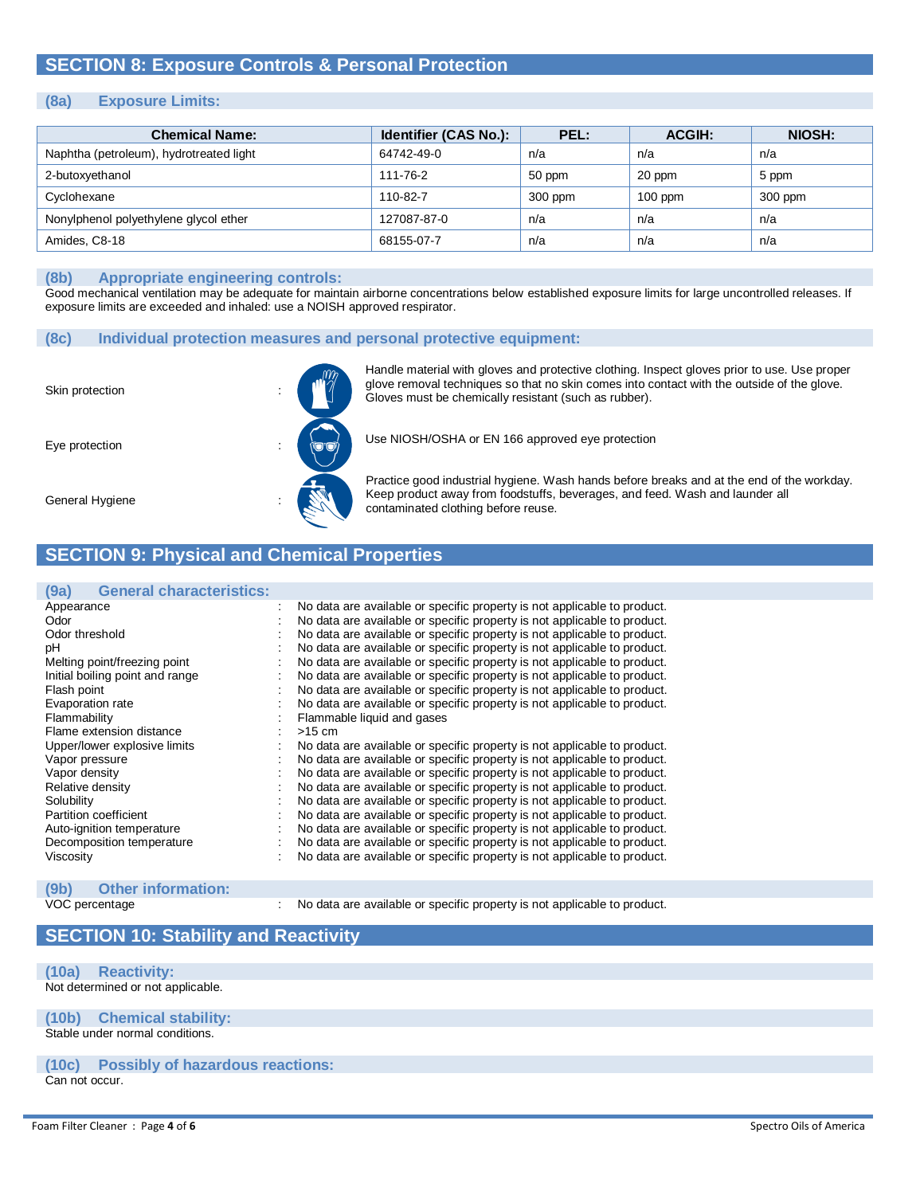# **SECTION 8: Exposure Controls & Personal Protection**

## **(8a) Exposure Limits:**

| <b>Chemical Name:</b>                   | Identifier (CAS No.): | PEL:    | <b>ACGIH:</b> | <b>NIOSH:</b> |
|-----------------------------------------|-----------------------|---------|---------------|---------------|
| Naphtha (petroleum), hydrotreated light | 64742-49-0            | n/a     | n/a           | n/a           |
| 2-butoxyethanol                         | 111-76-2              | 50 ppm  | 20 ppm        | 5 ppm         |
| Cyclohexane                             | 110-82-7              | 300 ppm | $100$ ppm     | 300 ppm       |
| Nonylphenol polyethylene glycol ether   | 127087-87-0           | n/a     | n/a           | n/a           |
| Amides, C8-18                           | 68155-07-7            | n/a     | n/a           | n/a           |

#### **(8b) Appropriate engineering controls:**

Good mechanical ventilation may be adequate for maintain airborne concentrations below established exposure limits for large uncontrolled releases. If exposure limits are exceeded and inhaled: use a NOISH approved respirator.

#### **(8c) Individual protection measures and personal protective equipment:**





Handle material with gloves and protective clothing. Inspect gloves prior to use. Use proper glove removal techniques so that no skin comes into contact with the outside of the glove. Gloves must be chemically resistant (such as rubber).

Use NIOSH/OSHA or EN 166 approved eye protection

General Hygiene

Practice good industrial hygiene. Wash hands before breaks and at the end of the workday. Keep product away from foodstuffs, beverages, and feed. Wash and launder all contaminated clothing before reuse.

# **SECTION 9: Physical and Chemical Properties**

#### **(9a) General characteristics:** : No data are available or specific property is not applicable to product. Odor interesting the contract of the contract of the contract of the contract of the contract of the Color threshold<br>Odor threshold contract the contract of the contract of the contract of the contract of the contract of t No data are available or specific property is not applicable to product. pH<br>
Mo data are available or specific property is not applicable to product.<br>
Melting point/freezing point (Note to product.) No data are available or specific property is not applicable to product. No data are available or specific property is not applicable to product. Initial boiling point and range : No data are available or specific property is not applicable to product.<br>Flash point is not applicable to product. No data are available or specific property is not applicable to product. Evaporation rate **interpretatally** : No data are available or specific property is not applicable to product. Flammability **Example 1** Flammable liquid and gases Flame extension distance : >15 cm<br>Upper/lower explosive limits : No data No data are available or specific property is not applicable to product. Vapor pressure **in the support of the Contract Area** are available or specific property is not applicable to product. Vapor density **interpretatally** : No data are available or specific property is not applicable to product. Relative density **State and Accord Contract Accord Contract** is not applicable to product. Solubility **Solubility 1998** : No data are available or specific property is not applicable to product. Partition coefficient : No data are available or specific property is not applicable to product. Auto-ignition temperature : No data are available or specific property is not applicable to product. Decomposition temperature : No data are available or specific property is not applicable to product. Viscosity : No data are available or specific property is not applicable to product.

# **(9b) Other information:**

: No data are available or specific property is not applicable to product.

# **SECTION 10: Stability and Reactivity**

#### **(10a) Reactivity:**

Not determined or not applicable.

**(10b) Chemical stability:** Stable under normal conditions.

## **(10c) Possibly of hazardous reactions:**

Can not occur.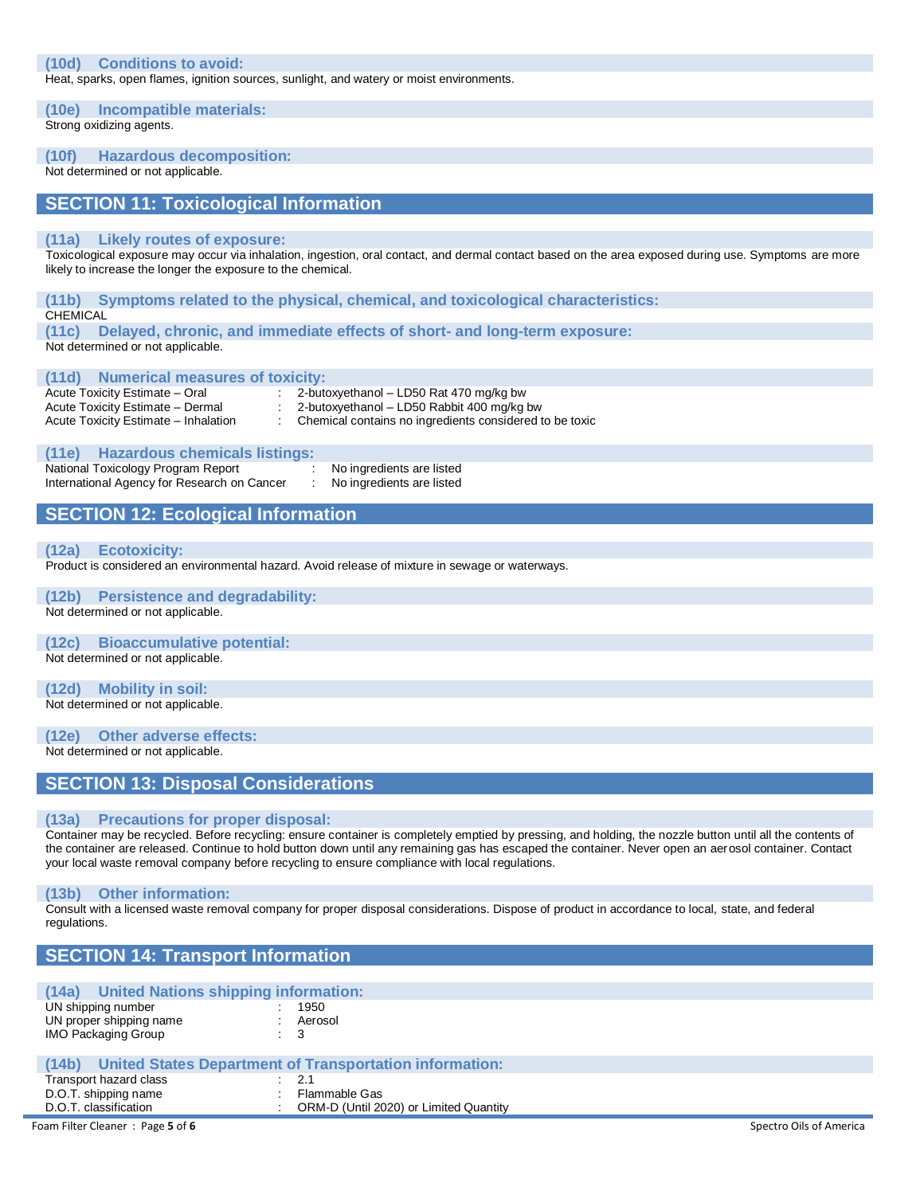#### **(10d) Conditions to avoid:**

Heat, sparks, open flames, ignition sources, sunlight, and watery or moist environments.

**(10e) Incompatible materials:**

Strong oxidizing agents.

## **(10f) Hazardous decomposition:**

Not determined or not applicable.

## **SECTION 11: Toxicological Information**

#### **(11a) Likely routes of exposure:**

Toxicological exposure may occur via inhalation, ingestion, oral contact, and dermal contact based on the area exposed during use. Symptoms are more likely to increase the longer the exposure to the chemical.

## **(11b) Symptoms related to the physical, chemical, and toxicological characteristics: CHEMICAL**

**(11c) Delayed, chronic, and immediate effects of short- and long-term exposure:** Not determined or not applicable.

#### **(11d) Numerical measures of toxicity:**

Acute Toxicity Estimate – Oral : 2-butoxyethanol – LD50 Rat 470 mg/kg bw<br>Acute Toxicity Estimate – Dermal : 2-butoxyethanol – LD50 Rabbit 400 mg/kg l 2-butoxyethanol – LD50 Rabbit 400 mg/kg bw

Acute Toxicity Estimate – Inhalation : Chemical contains no ingredients considered to be toxic

#### **(11e) Hazardous chemicals listings:**

National Toxicology Program Report : No ingredients are listed<br>
International Agency for Research on Cancer : No ingredients are listed International Agency for Research on Cancer

# **SECTION 12: Ecological Information**

#### **(12a) Ecotoxicity:**

Product is considered an environmental hazard. Avoid release of mixture in sewage or waterways.

### **(12b) Persistence and degradability:**

Not determined or not applicable.

## **(12c) Bioaccumulative potential:**

Not determined or not applicable.

#### **(12d) Mobility in soil:**

Not determined or not applicable.

#### **(12e) Other adverse effects:**

Not determined or not applicable.

## **SECTION 13: Disposal Considerations**

#### **(13a) Precautions for proper disposal:**

Container may be recycled. Before recycling: ensure container is completely emptied by pressing, and holding, the nozzle button until all the contents of the container are released. Continue to hold button down until any remaining gas has escaped the container. Never open an aerosol container. Contact your local waste removal company before recycling to ensure compliance with local regulations.

#### **(13b) Other information:**

Consult with a licensed waste removal company for proper disposal considerations. Dispose of product in accordance to local, state, and federal regulations.

|                                               | <b>SECTION 14: Transport Information</b>                |  |  |
|-----------------------------------------------|---------------------------------------------------------|--|--|
|                                               |                                                         |  |  |
| United Nations shipping information:<br>(14a) |                                                         |  |  |
| UN shipping number                            | 1950                                                    |  |  |
| UN proper shipping name                       | : Aerosol                                               |  |  |
| <b>IMO Packaging Group</b>                    | $\therefore$ 3                                          |  |  |
|                                               |                                                         |  |  |
| (14b)                                         | United States Department of Transportation information: |  |  |
| Transport hazard class                        | $\therefore$ 2.1                                        |  |  |
| D.O.T. shipping name                          | Flammable Gas                                           |  |  |
| D.O.T. classification                         | ORM-D (Until 2020) or Limited Quantity                  |  |  |